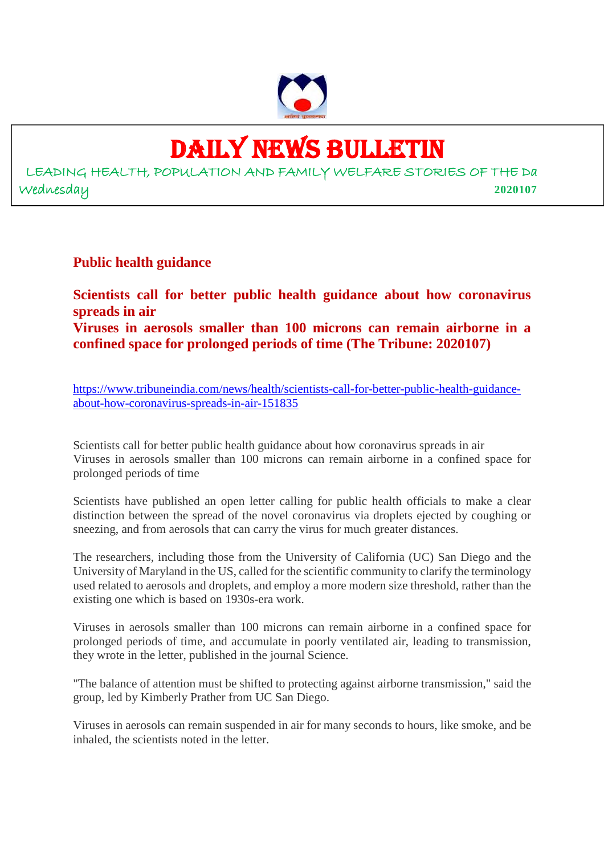

## DAILY NEWS BULLETIN

LEADING HEALTH, POPULATION AND FAMILY WELFARE STORIES OF THE Da Wednesday **2020107**

**Public health guidance**

**Scientists call for better public health guidance about how coronavirus spreads in air Viruses in aerosols smaller than 100 microns can remain airborne in a confined space for prolonged periods of time (The Tribune: 2020107)**

https://www.tribuneindia.com/news/health/scientists-call-for-better-public-health-guidanceabout-how-coronavirus-spreads-in-air-151835

Scientists call for better public health guidance about how coronavirus spreads in air Viruses in aerosols smaller than 100 microns can remain airborne in a confined space for prolonged periods of time

Scientists have published an open letter calling for public health officials to make a clear distinction between the spread of the novel coronavirus via droplets ejected by coughing or sneezing, and from aerosols that can carry the virus for much greater distances.

The researchers, including those from the University of California (UC) San Diego and the University of Maryland in the US, called for the scientific community to clarify the terminology used related to aerosols and droplets, and employ a more modern size threshold, rather than the existing one which is based on 1930s-era work.

Viruses in aerosols smaller than 100 microns can remain airborne in a confined space for prolonged periods of time, and accumulate in poorly ventilated air, leading to transmission, they wrote in the letter, published in the journal Science.

"The balance of attention must be shifted to protecting against airborne transmission," said the group, led by Kimberly Prather from UC San Diego.

Viruses in aerosols can remain suspended in air for many seconds to hours, like smoke, and be inhaled, the scientists noted in the letter.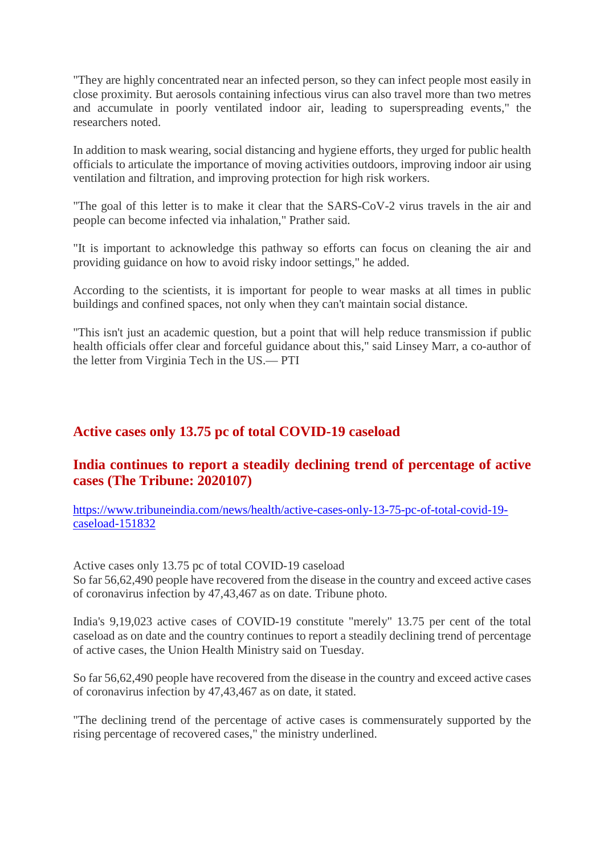"They are highly concentrated near an infected person, so they can infect people most easily in close proximity. But aerosols containing infectious virus can also travel more than two metres and accumulate in poorly ventilated indoor air, leading to superspreading events," the researchers noted.

In addition to mask wearing, social distancing and hygiene efforts, they urged for public health officials to articulate the importance of moving activities outdoors, improving indoor air using ventilation and filtration, and improving protection for high risk workers.

"The goal of this letter is to make it clear that the SARS-CoV-2 virus travels in the air and people can become infected via inhalation," Prather said.

"It is important to acknowledge this pathway so efforts can focus on cleaning the air and providing guidance on how to avoid risky indoor settings," he added.

According to the scientists, it is important for people to wear masks at all times in public buildings and confined spaces, not only when they can't maintain social distance.

"This isn't just an academic question, but a point that will help reduce transmission if public health officials offer clear and forceful guidance about this," said Linsey Marr, a co-author of the letter from Virginia Tech in the US.— PTI

#### **Active cases only 13.75 pc of total COVID-19 caseload**

#### **India continues to report a steadily declining trend of percentage of active cases (The Tribune: 2020107)**

https://www.tribuneindia.com/news/health/active-cases-only-13-75-pc-of-total-covid-19 caseload-151832

Active cases only 13.75 pc of total COVID-19 caseload So far 56,62,490 people have recovered from the disease in the country and exceed active cases of coronavirus infection by 47,43,467 as on date. Tribune photo.

India's 9,19,023 active cases of COVID-19 constitute "merely" 13.75 per cent of the total caseload as on date and the country continues to report a steadily declining trend of percentage of active cases, the Union Health Ministry said on Tuesday.

So far 56,62,490 people have recovered from the disease in the country and exceed active cases of coronavirus infection by 47,43,467 as on date, it stated.

"The declining trend of the percentage of active cases is commensurately supported by the rising percentage of recovered cases," the ministry underlined.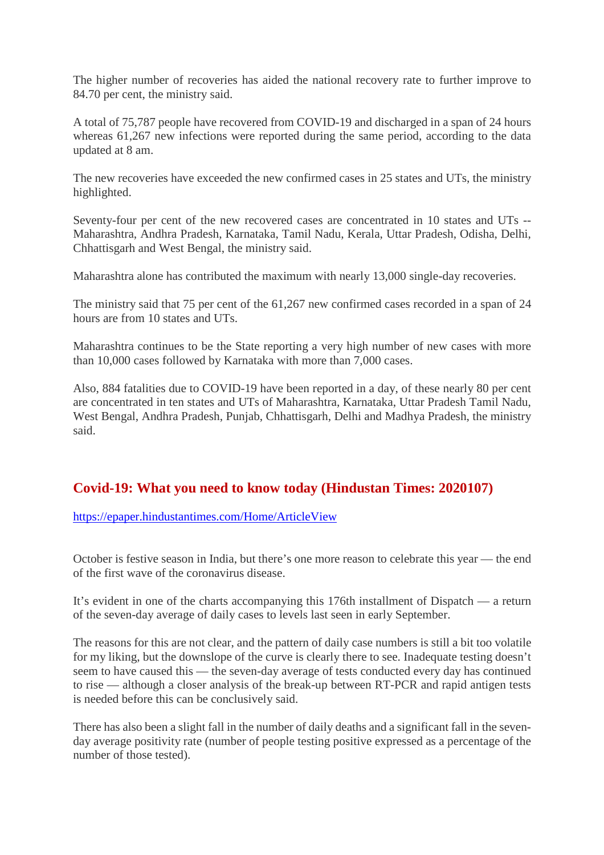The higher number of recoveries has aided the national recovery rate to further improve to 84.70 per cent, the ministry said.

A total of 75,787 people have recovered from COVID-19 and discharged in a span of 24 hours whereas 61,267 new infections were reported during the same period, according to the data updated at 8 am.

The new recoveries have exceeded the new confirmed cases in 25 states and UTs, the ministry highlighted.

Seventy-four per cent of the new recovered cases are concentrated in 10 states and UTs -- Maharashtra, Andhra Pradesh, Karnataka, Tamil Nadu, Kerala, Uttar Pradesh, Odisha, Delhi, Chhattisgarh and West Bengal, the ministry said.

Maharashtra alone has contributed the maximum with nearly 13,000 single-day recoveries.

The ministry said that 75 per cent of the 61,267 new confirmed cases recorded in a span of 24 hours are from 10 states and UTs.

Maharashtra continues to be the State reporting a very high number of new cases with more than 10,000 cases followed by Karnataka with more than 7,000 cases.

Also, 884 fatalities due to COVID-19 have been reported in a day, of these nearly 80 per cent are concentrated in ten states and UTs of Maharashtra, Karnataka, Uttar Pradesh Tamil Nadu, West Bengal, Andhra Pradesh, Punjab, Chhattisgarh, Delhi and Madhya Pradesh, the ministry said.

#### **Covid-19: What you need to know today (Hindustan Times: 2020107)**

https://epaper.hindustantimes.com/Home/ArticleView

October is festive season in India, but there's one more reason to celebrate this year — the end of the first wave of the coronavirus disease.

It's evident in one of the charts accompanying this 176th installment of Dispatch — a return of the seven-day average of daily cases to levels last seen in early September.

The reasons for this are not clear, and the pattern of daily case numbers is still a bit too volatile for my liking, but the downslope of the curve is clearly there to see. Inadequate testing doesn't seem to have caused this — the seven-day average of tests conducted every day has continued to rise — although a closer analysis of the break-up between RT-PCR and rapid antigen tests is needed before this can be conclusively said.

There has also been a slight fall in the number of daily deaths and a significant fall in the sevenday average positivity rate (number of people testing positive expressed as a percentage of the number of those tested).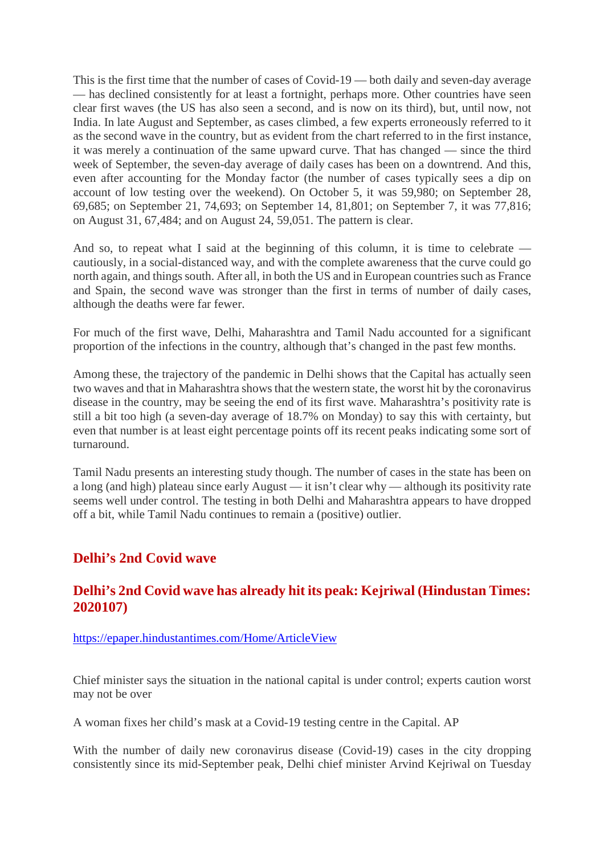This is the first time that the number of cases of Covid-19 — both daily and seven-day average — has declined consistently for at least a fortnight, perhaps more. Other countries have seen clear first waves (the US has also seen a second, and is now on its third), but, until now, not India. In late August and September, as cases climbed, a few experts erroneously referred to it as the second wave in the country, but as evident from the chart referred to in the first instance, it was merely a continuation of the same upward curve. That has changed — since the third week of September, the seven-day average of daily cases has been on a downtrend. And this, even after accounting for the Monday factor (the number of cases typically sees a dip on account of low testing over the weekend). On October 5, it was 59,980; on September 28, 69,685; on September 21, 74,693; on September 14, 81,801; on September 7, it was 77,816; on August 31, 67,484; and on August 24, 59,051. The pattern is clear.

And so, to repeat what I said at the beginning of this column, it is time to celebrate cautiously, in a social-distanced way, and with the complete awareness that the curve could go north again, and things south. After all, in both the US and in European countries such as France and Spain, the second wave was stronger than the first in terms of number of daily cases, although the deaths were far fewer.

For much of the first wave, Delhi, Maharashtra and Tamil Nadu accounted for a significant proportion of the infections in the country, although that's changed in the past few months.

Among these, the trajectory of the pandemic in Delhi shows that the Capital has actually seen two waves and that in Maharashtra shows that the western state, the worst hit by the coronavirus disease in the country, may be seeing the end of its first wave. Maharashtra's positivity rate is still a bit too high (a seven-day average of 18.7% on Monday) to say this with certainty, but even that number is at least eight percentage points off its recent peaks indicating some sort of turnaround.

Tamil Nadu presents an interesting study though. The number of cases in the state has been on a long (and high) plateau since early August — it isn't clear why — although its positivity rate seems well under control. The testing in both Delhi and Maharashtra appears to have dropped off a bit, while Tamil Nadu continues to remain a (positive) outlier.

#### **Delhi's 2nd Covid wave**

#### **Delhi's 2nd Covid wave has already hit its peak: Kejriwal (Hindustan Times: 2020107)**

#### https://epaper.hindustantimes.com/Home/ArticleView

Chief minister says the situation in the national capital is under control; experts caution worst may not be over

A woman fixes her child's mask at a Covid-19 testing centre in the Capital. AP

With the number of daily new coronavirus disease (Covid-19) cases in the city dropping consistently since its mid-September peak, Delhi chief minister Arvind Kejriwal on Tuesday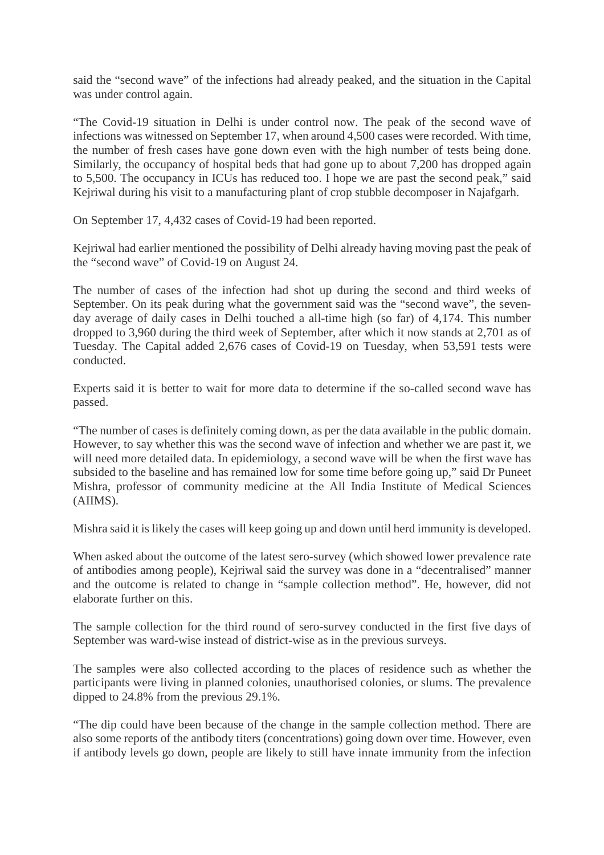said the "second wave" of the infections had already peaked, and the situation in the Capital was under control again.

"The Covid-19 situation in Delhi is under control now. The peak of the second wave of infections was witnessed on September 17, when around 4,500 cases were recorded. With time, the number of fresh cases have gone down even with the high number of tests being done. Similarly, the occupancy of hospital beds that had gone up to about 7,200 has dropped again to 5,500. The occupancy in ICUs has reduced too. I hope we are past the second peak," said Kejriwal during his visit to a manufacturing plant of crop stubble decomposer in Najafgarh.

On September 17, 4,432 cases of Covid-19 had been reported.

Kejriwal had earlier mentioned the possibility of Delhi already having moving past the peak of the "second wave" of Covid-19 on August 24.

The number of cases of the infection had shot up during the second and third weeks of September. On its peak during what the government said was the "second wave", the sevenday average of daily cases in Delhi touched a all-time high (so far) of 4,174. This number dropped to 3,960 during the third week of September, after which it now stands at 2,701 as of Tuesday. The Capital added 2,676 cases of Covid-19 on Tuesday, when 53,591 tests were conducted.

Experts said it is better to wait for more data to determine if the so-called second wave has passed.

"The number of cases is definitely coming down, as per the data available in the public domain. However, to say whether this was the second wave of infection and whether we are past it, we will need more detailed data. In epidemiology, a second wave will be when the first wave has subsided to the baseline and has remained low for some time before going up," said Dr Puneet Mishra, professor of community medicine at the All India Institute of Medical Sciences (AIIMS).

Mishra said it is likely the cases will keep going up and down until herd immunity is developed.

When asked about the outcome of the latest sero-survey (which showed lower prevalence rate of antibodies among people), Kejriwal said the survey was done in a "decentralised" manner and the outcome is related to change in "sample collection method". He, however, did not elaborate further on this.

The sample collection for the third round of sero-survey conducted in the first five days of September was ward-wise instead of district-wise as in the previous surveys.

The samples were also collected according to the places of residence such as whether the participants were living in planned colonies, unauthorised colonies, or slums. The prevalence dipped to 24.8% from the previous 29.1%.

"The dip could have been because of the change in the sample collection method. There are also some reports of the antibody titers (concentrations) going down over time. However, even if antibody levels go down, people are likely to still have innate immunity from the infection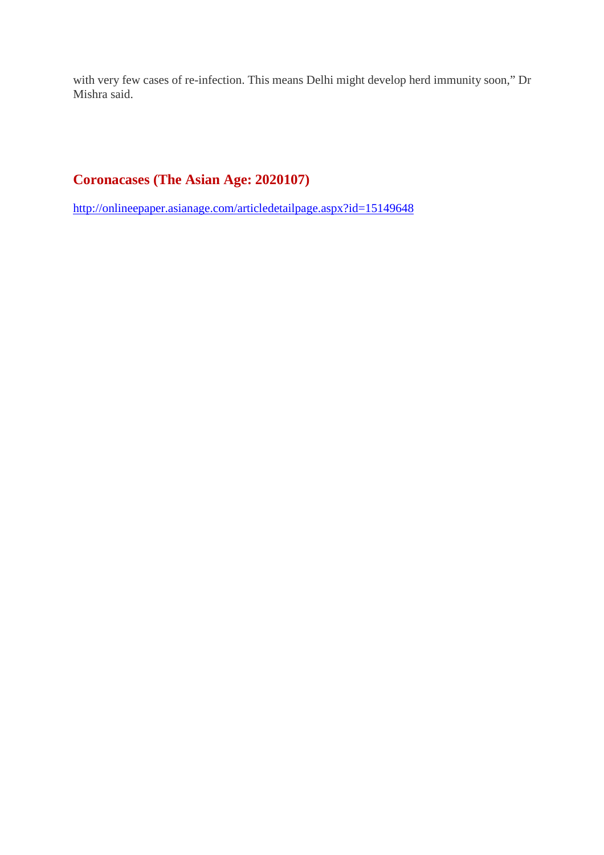with very few cases of re-infection. This means Delhi might develop herd immunity soon," Dr Mishra said.

#### **Coronacases (The Asian Age: 2020107)**

http://onlineepaper.asianage.com/articledetailpage.aspx?id=15149648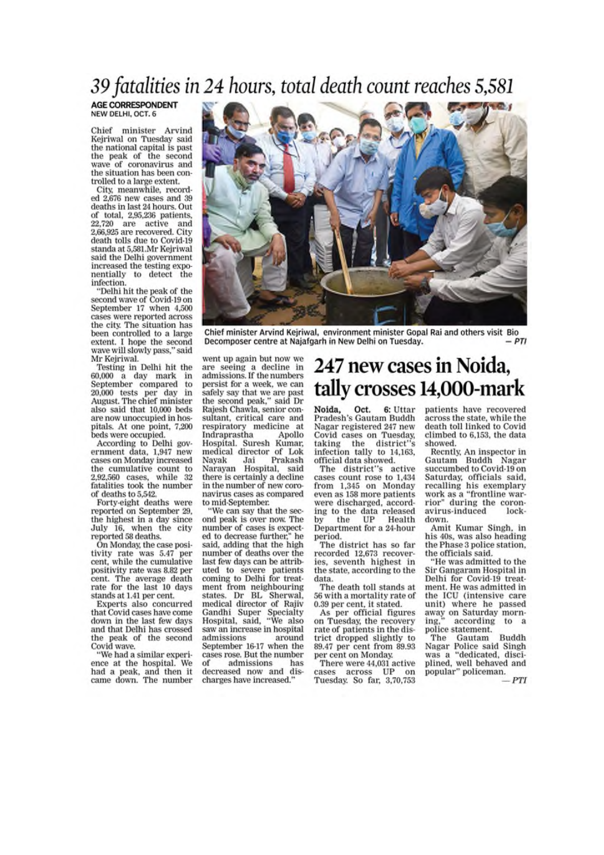### 39 fatalities in 24 hours, total death count reaches 5,581

**AGE CORRESPONDENT** NEW DELHI, OCT. 6

Chief minister Arvind Kejriwal on Tuesday said the national capital is past the peak of the second wave of coronavirus and the situation has been controlled to a large extent.

City, meanwhile, recorded 2.676 new cases and 39 deaths in last 24 hours. Out of total, 2,95,236 patients,  $22,720$  are active and  $2,66,925$  are recovered. City death tolls due to Covid-19 standa at 5,581.Mr Keiriwal said the Delhi government increased the testing exponentially to detect the infection.

"Delhi hit the peak of the<br>second wave of Covid-19 on September 17 when 4,500 cases were reported across the city. The situation has been controlled to a large extent. I hope the second wave will slowly pass," said Mr Kejriwal.

Testing in Delhi hit the 60,000 a day mark in September compared to 20,000 tests per day in<br>August. The chief minister also said that 10,000 beds are now unoccupied in hospitals. At one point, 7,200 beds were occupied.

According to Delhi government data, 1,947 new cases on Monday increased the cumulative count to 2,92,560 cases, while 32 fatalities took the number of deaths to 5,542.

Forty-eight deaths were reported on September 29, the highest in a day since July 16, when the city reported 58 deaths.

On Monday, the case positivity rate was 5.47 per<br>cent, while the cumulative positivity rate was 8.82 per cent. The average death rate for the last 10 days stands at 1.41 per cent.

Experts also concurred that Covid cases have come down in the last few days and that Delhi has crossed the peak of the second Covid wave.

"We had a similar experience at the hospital. We had a peak, and then it<br>came down. The number



Chief minister Arvind Kejriwal, environment minister Gopal Rai and others visit Bio Decomposer centre at Najafgarh in New Delhi on Tuesday.  $-PTI$ 

went up again but now we are seeing a decline in admissions. If the numbers persist for a week, we can safely say that we are past the second peak," said Dr Rajesh Chawla, senior consultant, critical care and respiratory medicine at<br>Indraprastha Apollo Apollo Hospital. Suresh Kumar, medical director of Lok Prakash Navak Jai Narayan Hospital, said<br>there is certainly a decline in the number of new coronavirus cases as compared to mid-September.

We can say that the second peak is over now. The number of cases is expected to decrease further," he said, adding that the high number of deaths over the last few days can be attributed to severe patients<br>coming to Delhi for treatment from neighbouring states. Dr BL Sherwal, medical director of Rajiv Gandhi Super Specialty<br>Hospital, said, "We also saw an increase in hospital admissions around September 16-17 when the cases rose. But the number of admissions has decreased now and discharges have increased.'

#### 247 new cases in Noida. tally crosses 14,000-mark

Noida, Oct. 6: Uttar Pradesh's Gautam Buddh Nagar registered 247 new Covid cases on Tuesday, taking the district"s<br>infection tally to 14,163, official data showed.

The district"s active cases count rose to 1,434 from 1,345 on Monday even as 158 more patients were discharged, according to the data released<br>by the UP Health Department for a 24-hour period.

The district has so far recorded 12,673 recoveries, seventh highest in the state, according to the data.

The death toll stands at 56 with a mortality rate of 0.39 per cent, it stated.

As per official figures on Tuesday, the recovery rate of patients in the district dropped slightly to 89.47 per cent from 89.93 per cent on Monday.

There were 44,031 active cases across UP on Tuesday. So far, 3,70,753

patients have recovered across the state, while the death toll linked to Covid climbed to 6,153, the data showed.

Recntly, An inspector in Gautam Buddh Nagar succumbed to Covid-19 on Saturday, officials said, recalling his exemplary work as a "frontline warrior" during the coronavirus-induced  $lock$ down.

Amit Kumar Singh, in his 40s, was also heading the Phase 3 police station, the officials said.

"He was admitted to the Sir Gangaram Hospital in Delhi for Covid-19 treatment. He was admitted in the ICU (intensive care unit) where he passed away on Saturday morning. according to a police statement.

Gautam Buddh The Nagar Police said Singh was a "dedicated, disciplined, well behaved and popular" policeman.

PTI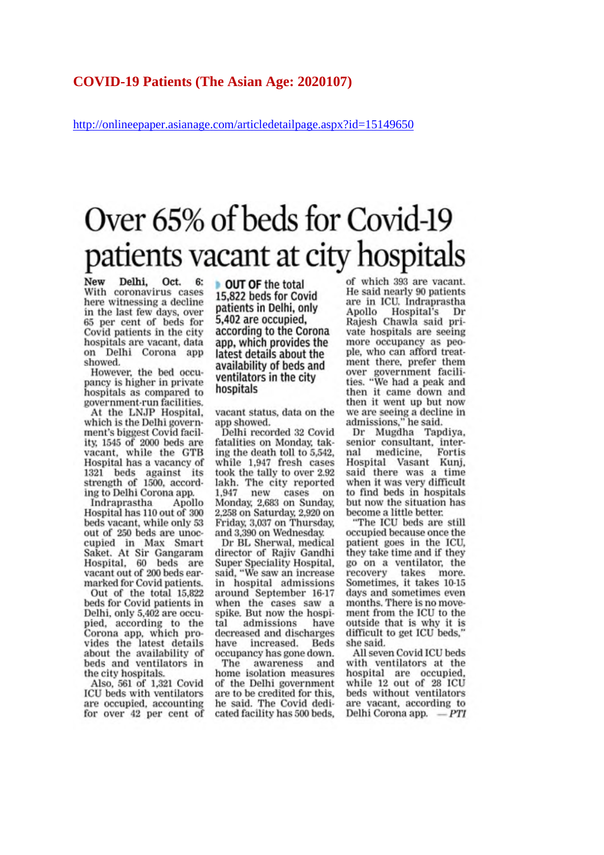http://onlineepaper.asianage.com/articledetailpage.aspx?id=15149650

## Over 65% of beds for Covid-19 patients vacant at city hospitals

New Delhi, Oct. 6: With coronavirus cases here witnessing a decline in the last few days, over 65 per cent of beds for Covid patients in the city hospitals are vacant, data on Delhi Corona app showed.

However, the bed occupancy is higher in private hospitals as compared to government-run facilities.

At the LNJP Hospital, which is the Delhi government's biggest Covid facility, 1545 of 2000 beds are vacant, while the GTB Hospital has a vacancy of 1321 beds against its<br>strength of 1500, according to Delhi Corona app.

Apollo Indraprastha Hospital has 110 out of 300 beds vacant, while only 53 out of 250 beds are unoccupied in Max Smart Saket. At Sir Gangaram<br>Hospital, 60 beds are vacant out of 200 beds earmarked for Covid patients.

Out of the total 15,822<br>beds for Covid patients in Delhi, only 5,402 are occupied, according to the Corona app, which provides the latest details<br>about the availability of beds and ventilators in the city hospitals.

Also, 561 of 1,321 Covid<br>ICU beds with ventilators are occupied, accounting for over 42 per cent of OUT OF the total 15,822 beds for Covid patients in Delhi, only 5.402 are occupied. according to the Corona app, which provides the latest details about the availability of beds and ventilators in the city hospitals

vacant status, data on the app showed.

Delhi recorded 32 Covid fatalities on Monday, taking the death toll to 5,542. while 1,947 fresh cases took the tally to over 2.92 lakh. The city reported 1,947 new cases on Monday, 2,683 on Sunday, 2,258 on Saturday, 2,920 on Friday, 3,037 on Thursday, and 3,390 on Wednesday.

Dr BL Sherwal, medical director of Rajiv Gandhi Super Speciality Hospital. said, "We saw an increase in hospital admissions around September 16-17 when the cases saw a spike. But now the hospiadmissions have tal decreased and discharges have increased. Beds occupancy has gone down.

The awareness and home isolation measures of the Delhi government are to be credited for this, he said. The Covid dedicated facility has 500 beds,

of which 393 are vacant. He said nearly 90 patients are in ICU. Indraprastha Apollo Hospital's Dr Rajesh Chawla said private hospitals are seeing more occupancy as people, who can afford treatment there, prefer them over government facili-<br>ties. "We had a peak and then it came down and then it went up but now we are seeing a decline in<br>admissions," he said.

Dr Mugdha Tapdiya, senior consultant, internal medicine, Fortis<br>Hospital Vasant Kunj, said there was a time when it was very difficult to find beds in hospitals but now the situation has become a little better.

"The ICU beds are still occupied because once the patient goes in the ICU, they take time and if they go on a ventilator, the recovery takes more. Sometimes, it takes 10-15 days and sometimes even months. There is no movement from the ICU to the outside that is why it is difficult to get ICU beds.' she said.

All seven Covid ICU beds with ventilators at the hospital are occupied, while 12 out of 28 ICU beds without ventilators are vacant, according to Delhi Corona app.  $=$   $PTI$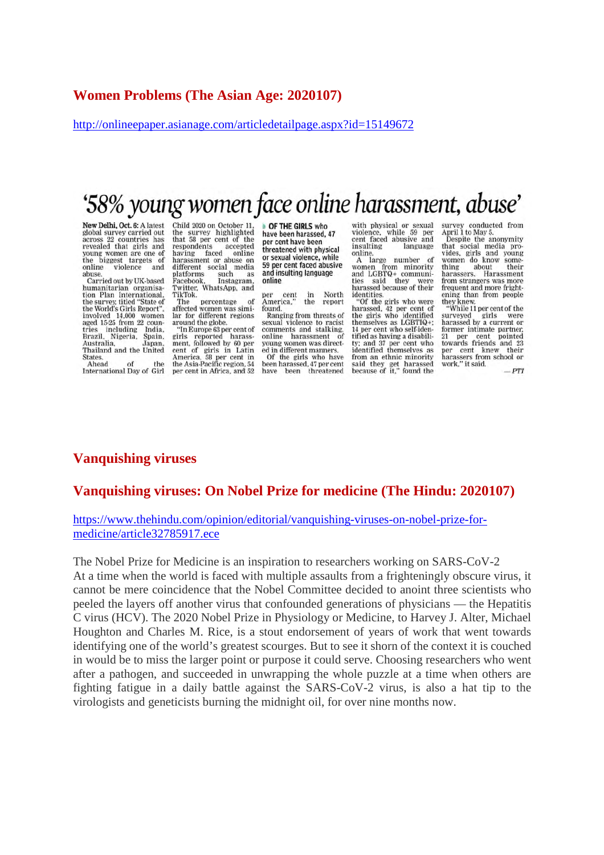#### **Women Problems (The Asian Age: 2020107)**

http://onlineepaper.asianage.com/articledetailpage.aspx?id=15149672

## '58% young women face online harassment, abuse'

New Delhi, Oct. 6: A latest global survey carried out across 22 countries has<br>revealed that girls and young women are one of<br>the biggest targets of violence online and abuse

Carried out by UK-based humanitarian organisa-<br>tion Plan International, the survey, titled "State of<br>the World's Girls Report", involved 14,000 women<br>aged 15-25 from 22 counager *including* India,<br>Brazil, Nigeria, Spain,<br>Australia, Japan,<br>Thailand and the United States.  $\alpha$ <sup>r</sup> Ahead the

International Day of Girl

Child 2020 on October 11. the survey highlighted<br>that 58 per cent of the per cent of the<br>ents accepted<br>faced online<br>ent or abuse on respondents having faced online<br>harassment or abuse on different social media<br>platforms such as such as<br>Instagram, Facebook Facebook, Instagram,<br>Twitter, WhatsApp, and<br>TikTok.

percentage The  $\alpha$ f affected women was similar for different regions around the globe.

"In Europe 63 per cent of<br>girls reported harass-<br>ment, followed by 60 per cent of girls in Latin<br>America, 58 per cent in<br>the Asia-Pacific region, 54 per cent in Africa, and 52

OF THE GIRLS who have been harassed, 47 per cent have been threatened with physical or sexual violence, while 59 per cent faced abusive and insulting language online

North per cent<br>America," in the report found.

Ranging from threats of sexual violence to racist comments and stalking. harassment online young women was directed in different manners ed in different manners.<br>Of the girls who have<br>been harassed, 47 per cent have been threatened

with physical or sexual violence, while 59 per<br>cent faced abusive and insulting language online.<br>A large

number women from minority<br>and LGBTQ+ communi-<br>ties said they were ties said they were<br>harassed because of their identities.

worthings who were<br>harassed, 42 per cent of<br>the girls who identified<br>themselves as LGBTIQ+; 14 per cent who self-identified as having a disability; and 37 per cent who<br>identified themselves as<br>from an ethnic minority<br>said they get harassed<br>because of it," found the

survey conducted from<br>April 1 to May 5.

Despite the anonymity<br>that social media provides, girls and young<br>women do know something about their<br>harassers. Harassment<br>from strangers was more frequent and more frightening than from people<br>they knew.<br>"While 11 per cent of the

surveyed girls were<br>harassed by a current or former intimate partner, 21 per cent pointed<br>towards friends and 23 per cent knew their<br>harassers from school or<br>work," it said.

 $PTI$ 

#### **Vanquishing viruses**

#### **Vanquishing viruses: On Nobel Prize for medicine (The Hindu: 2020107)**

#### https://www.thehindu.com/opinion/editorial/vanquishing-viruses-on-nobel-prize-formedicine/article32785917.ece

The Nobel Prize for Medicine is an inspiration to researchers working on SARS-CoV-2 At a time when the world is faced with multiple assaults from a frighteningly obscure virus, it cannot be mere coincidence that the Nobel Committee decided to anoint three scientists who peeled the layers off another virus that confounded generations of physicians — the Hepatitis C virus (HCV). The 2020 Nobel Prize in Physiology or Medicine, to Harvey J. Alter, Michael Houghton and Charles M. Rice, is a stout endorsement of years of work that went towards identifying one of the world's greatest scourges. But to see it shorn of the context it is couched in would be to miss the larger point or purpose it could serve. Choosing researchers who went after a pathogen, and succeeded in unwrapping the whole puzzle at a time when others are fighting fatigue in a daily battle against the SARS-CoV-2 virus, is also a hat tip to the virologists and geneticists burning the midnight oil, for over nine months now.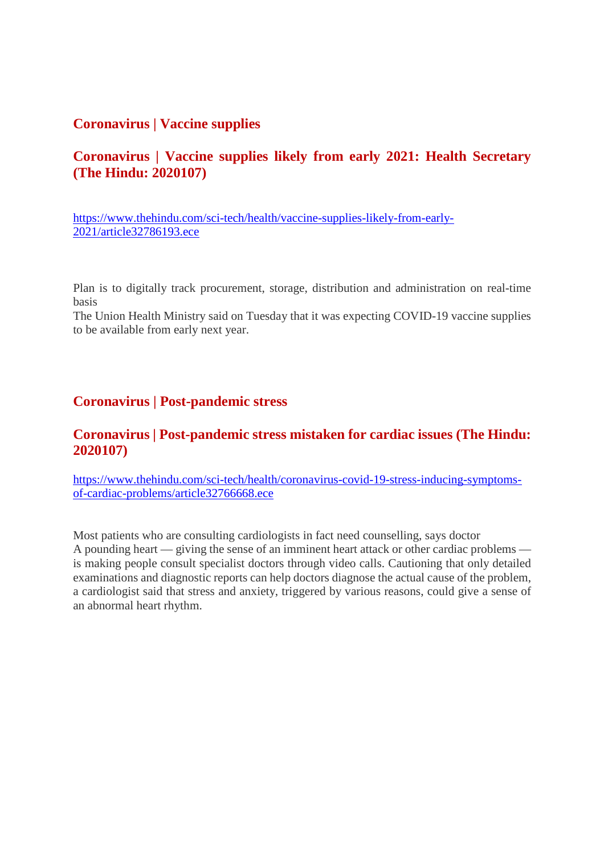#### **Coronavirus | Vaccine supplies**

#### **Coronavirus | Vaccine supplies likely from early 2021: Health Secretary (The Hindu: 2020107)**

https://www.thehindu.com/sci-tech/health/vaccine-supplies-likely-from-early-2021/article32786193.ece

Plan is to digitally track procurement, storage, distribution and administration on real-time basis

The Union Health Ministry said on Tuesday that it was expecting COVID-19 vaccine supplies to be available from early next year.

#### **Coronavirus | Post-pandemic stress**

#### **Coronavirus | Post-pandemic stress mistaken for cardiac issues (The Hindu: 2020107)**

https://www.thehindu.com/sci-tech/health/coronavirus-covid-19-stress-inducing-symptomsof-cardiac-problems/article32766668.ece

Most patients who are consulting cardiologists in fact need counselling, says doctor A pounding heart — giving the sense of an imminent heart attack or other cardiac problems is making people consult specialist doctors through video calls. Cautioning that only detailed examinations and diagnostic reports can help doctors diagnose the actual cause of the problem, a cardiologist said that stress and anxiety, triggered by various reasons, could give a sense of an abnormal heart rhythm.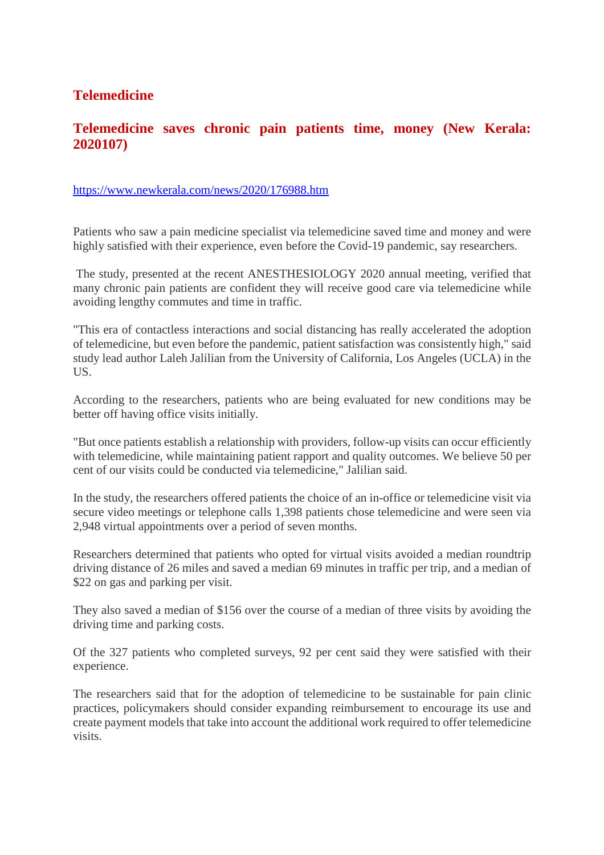#### **Telemedicine**

#### **Telemedicine saves chronic pain patients time, money (New Kerala: 2020107)**

#### https://www.newkerala.com/news/2020/176988.htm

Patients who saw a pain medicine specialist via telemedicine saved time and money and were highly satisfied with their experience, even before the Covid-19 pandemic, say researchers.

The study, presented at the recent ANESTHESIOLOGY 2020 annual meeting, verified that many chronic pain patients are confident they will receive good care via telemedicine while avoiding lengthy commutes and time in traffic.

"This era of contactless interactions and social distancing has really accelerated the adoption of telemedicine, but even before the pandemic, patient satisfaction was consistently high," said study lead author Laleh Jalilian from the University of California, Los Angeles (UCLA) in the US.

According to the researchers, patients who are being evaluated for new conditions may be better off having office visits initially.

"But once patients establish a relationship with providers, follow-up visits can occur efficiently with telemedicine, while maintaining patient rapport and quality outcomes. We believe 50 per cent of our visits could be conducted via telemedicine," Jalilian said.

In the study, the researchers offered patients the choice of an in-office or telemedicine visit via secure video meetings or telephone calls 1,398 patients chose telemedicine and were seen via 2,948 virtual appointments over a period of seven months.

Researchers determined that patients who opted for virtual visits avoided a median roundtrip driving distance of 26 miles and saved a median 69 minutes in traffic per trip, and a median of \$22 on gas and parking per visit.

They also saved a median of \$156 over the course of a median of three visits by avoiding the driving time and parking costs.

Of the 327 patients who completed surveys, 92 per cent said they were satisfied with their experience.

The researchers said that for the adoption of telemedicine to be sustainable for pain clinic practices, policymakers should consider expanding reimbursement to encourage its use and create payment models that take into account the additional work required to offer telemedicine visits.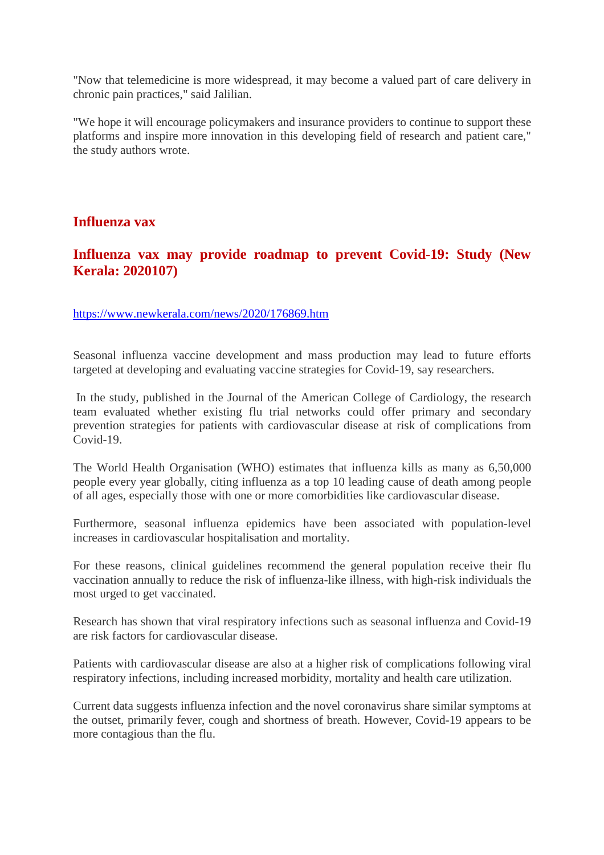"Now that telemedicine is more widespread, it may become a valued part of care delivery in chronic pain practices," said Jalilian.

"We hope it will encourage policymakers and insurance providers to continue to support these platforms and inspire more innovation in this developing field of research and patient care," the study authors wrote.

#### **Influenza vax**

#### **Influenza vax may provide roadmap to prevent Covid-19: Study (New Kerala: 2020107)**

https://www.newkerala.com/news/2020/176869.htm

Seasonal influenza vaccine development and mass production may lead to future efforts targeted at developing and evaluating vaccine strategies for Covid-19, say researchers.

In the study, published in the Journal of the American College of Cardiology, the research team evaluated whether existing flu trial networks could offer primary and secondary prevention strategies for patients with cardiovascular disease at risk of complications from Covid-19.

The World Health Organisation (WHO) estimates that influenza kills as many as 6,50,000 people every year globally, citing influenza as a top 10 leading cause of death among people of all ages, especially those with one or more comorbidities like cardiovascular disease.

Furthermore, seasonal influenza epidemics have been associated with population-level increases in cardiovascular hospitalisation and mortality.

For these reasons, clinical guidelines recommend the general population receive their flu vaccination annually to reduce the risk of influenza-like illness, with high-risk individuals the most urged to get vaccinated.

Research has shown that viral respiratory infections such as seasonal influenza and Covid-19 are risk factors for cardiovascular disease.

Patients with cardiovascular disease are also at a higher risk of complications following viral respiratory infections, including increased morbidity, mortality and health care utilization.

Current data suggests influenza infection and the novel coronavirus share similar symptoms at the outset, primarily fever, cough and shortness of breath. However, Covid-19 appears to be more contagious than the flu.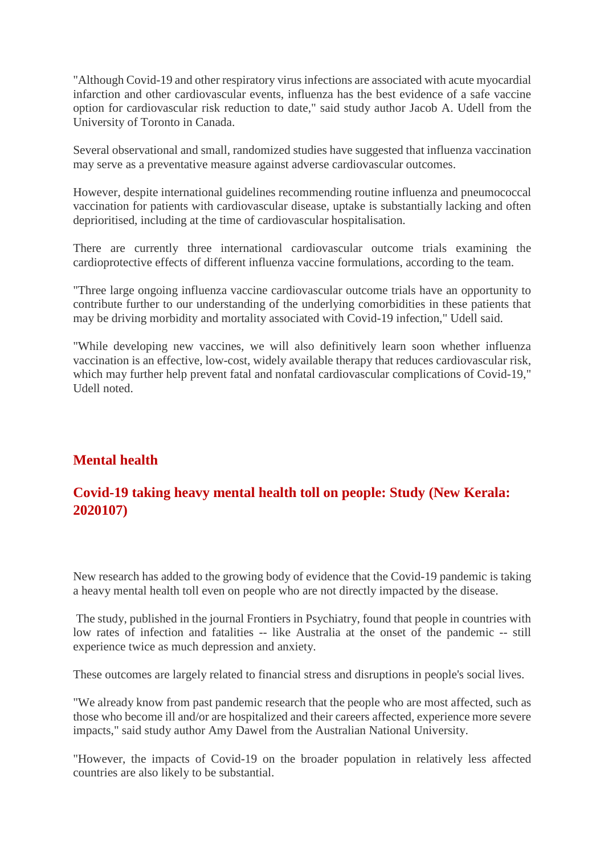"Although Covid-19 and other respiratory virus infections are associated with acute myocardial infarction and other cardiovascular events, influenza has the best evidence of a safe vaccine option for cardiovascular risk reduction to date," said study author Jacob A. Udell from the University of Toronto in Canada.

Several observational and small, randomized studies have suggested that influenza vaccination may serve as a preventative measure against adverse cardiovascular outcomes.

However, despite international guidelines recommending routine influenza and pneumococcal vaccination for patients with cardiovascular disease, uptake is substantially lacking and often deprioritised, including at the time of cardiovascular hospitalisation.

There are currently three international cardiovascular outcome trials examining the cardioprotective effects of different influenza vaccine formulations, according to the team.

"Three large ongoing influenza vaccine cardiovascular outcome trials have an opportunity to contribute further to our understanding of the underlying comorbidities in these patients that may be driving morbidity and mortality associated with Covid-19 infection," Udell said.

"While developing new vaccines, we will also definitively learn soon whether influenza vaccination is an effective, low-cost, widely available therapy that reduces cardiovascular risk, which may further help prevent fatal and nonfatal cardiovascular complications of Covid-19," Udell noted.

#### **Mental health**

#### **Covid-19 taking heavy mental health toll on people: Study (New Kerala: 2020107)**

New research has added to the growing body of evidence that the Covid-19 pandemic is taking a heavy mental health toll even on people who are not directly impacted by the disease.

The study, published in the journal Frontiers in Psychiatry, found that people in countries with low rates of infection and fatalities -- like Australia at the onset of the pandemic -- still experience twice as much depression and anxiety.

These outcomes are largely related to financial stress and disruptions in people's social lives.

"We already know from past pandemic research that the people who are most affected, such as those who become ill and/or are hospitalized and their careers affected, experience more severe impacts," said study author Amy Dawel from the Australian National University.

"However, the impacts of Covid-19 on the broader population in relatively less affected countries are also likely to be substantial.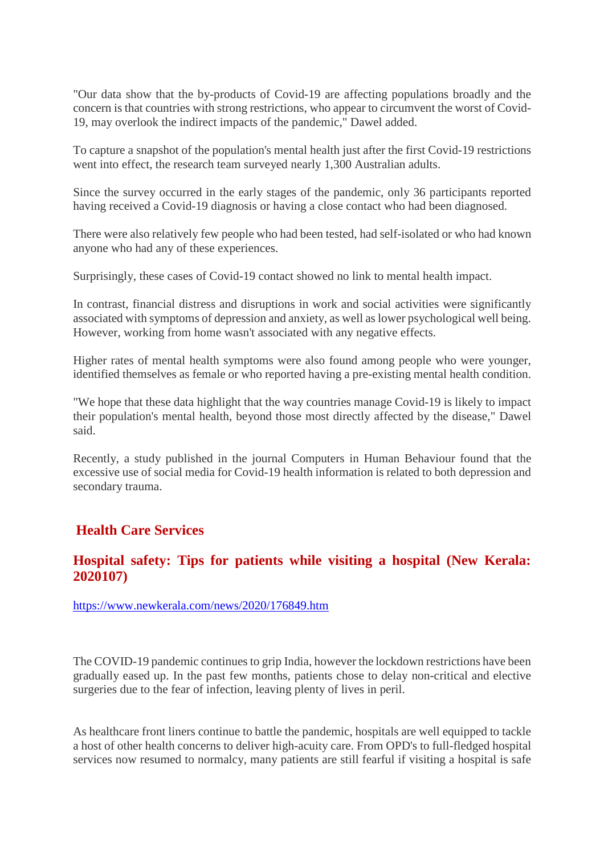"Our data show that the by-products of Covid-19 are affecting populations broadly and the concern is that countries with strong restrictions, who appear to circumvent the worst of Covid-19, may overlook the indirect impacts of the pandemic," Dawel added.

To capture a snapshot of the population's mental health just after the first Covid-19 restrictions went into effect, the research team surveyed nearly 1,300 Australian adults.

Since the survey occurred in the early stages of the pandemic, only 36 participants reported having received a Covid-19 diagnosis or having a close contact who had been diagnosed.

There were also relatively few people who had been tested, had self-isolated or who had known anyone who had any of these experiences.

Surprisingly, these cases of Covid-19 contact showed no link to mental health impact.

In contrast, financial distress and disruptions in work and social activities were significantly associated with symptoms of depression and anxiety, as well as lower psychological well being. However, working from home wasn't associated with any negative effects.

Higher rates of mental health symptoms were also found among people who were younger, identified themselves as female or who reported having a pre-existing mental health condition.

"We hope that these data highlight that the way countries manage Covid-19 is likely to impact their population's mental health, beyond those most directly affected by the disease," Dawel said.

Recently, a study published in the journal Computers in Human Behaviour found that the excessive use of social media for Covid-19 health information is related to both depression and secondary trauma.

#### **Health Care Services**

#### **Hospital safety: Tips for patients while visiting a hospital (New Kerala: 2020107)**

https://www.newkerala.com/news/2020/176849.htm

The COVID-19 pandemic continues to grip India, however the lockdown restrictions have been gradually eased up. In the past few months, patients chose to delay non-critical and elective surgeries due to the fear of infection, leaving plenty of lives in peril.

As healthcare front liners continue to battle the pandemic, hospitals are well equipped to tackle a host of other health concerns to deliver high-acuity care. From OPD's to full-fledged hospital services now resumed to normalcy, many patients are still fearful if visiting a hospital is safe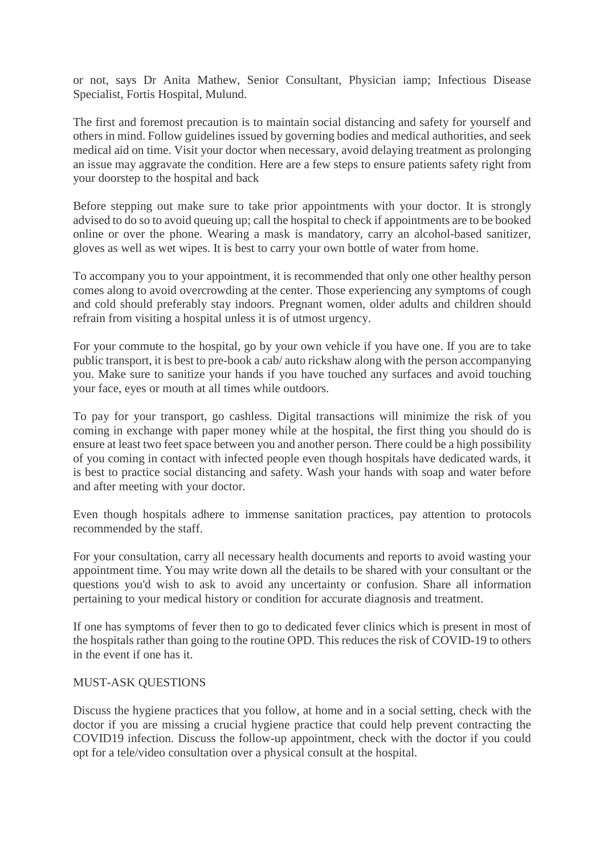or not, says Dr Anita Mathew, Senior Consultant, Physician iamp; Infectious Disease Specialist, Fortis Hospital, Mulund.

The first and foremost precaution is to maintain social distancing and safety for yourself and others in mind. Follow guidelines issued by governing bodies and medical authorities, and seek medical aid on time. Visit your doctor when necessary, avoid delaying treatment as prolonging an issue may aggravate the condition. Here are a few steps to ensure patients safety right from your doorstep to the hospital and back

Before stepping out make sure to take prior appointments with your doctor. It is strongly advised to do so to avoid queuing up; call the hospital to check if appointments are to be booked online or over the phone. Wearing a mask is mandatory, carry an alcohol-based sanitizer, gloves as well as wet wipes. It is best to carry your own bottle of water from home.

To accompany you to your appointment, it is recommended that only one other healthy person comes along to avoid overcrowding at the center. Those experiencing any symptoms of cough and cold should preferably stay indoors. Pregnant women, older adults and children should refrain from visiting a hospital unless it is of utmost urgency.

For your commute to the hospital, go by your own vehicle if you have one. If you are to take public transport, it is best to pre-book a cab/ auto rickshaw along with the person accompanying you. Make sure to sanitize your hands if you have touched any surfaces and avoid touching your face, eyes or mouth at all times while outdoors.

To pay for your transport, go cashless. Digital transactions will minimize the risk of you coming in exchange with paper money while at the hospital, the first thing you should do is ensure at least two feet space between you and another person. There could be a high possibility of you coming in contact with infected people even though hospitals have dedicated wards, it is best to practice social distancing and safety. Wash your hands with soap and water before and after meeting with your doctor.

Even though hospitals adhere to immense sanitation practices, pay attention to protocols recommended by the staff.

For your consultation, carry all necessary health documents and reports to avoid wasting your appointment time. You may write down all the details to be shared with your consultant or the questions you'd wish to ask to avoid any uncertainty or confusion. Share all information pertaining to your medical history or condition for accurate diagnosis and treatment.

If one has symptoms of fever then to go to dedicated fever clinics which is present in most of the hospitals rather than going to the routine OPD. This reduces the risk of COVID-19 to others in the event if one has it.

#### MUST-ASK QUESTIONS

Discuss the hygiene practices that you follow, at home and in a social setting, check with the doctor if you are missing a crucial hygiene practice that could help prevent contracting the COVID19 infection. Discuss the follow-up appointment, check with the doctor if you could opt for a tele/video consultation over a physical consult at the hospital.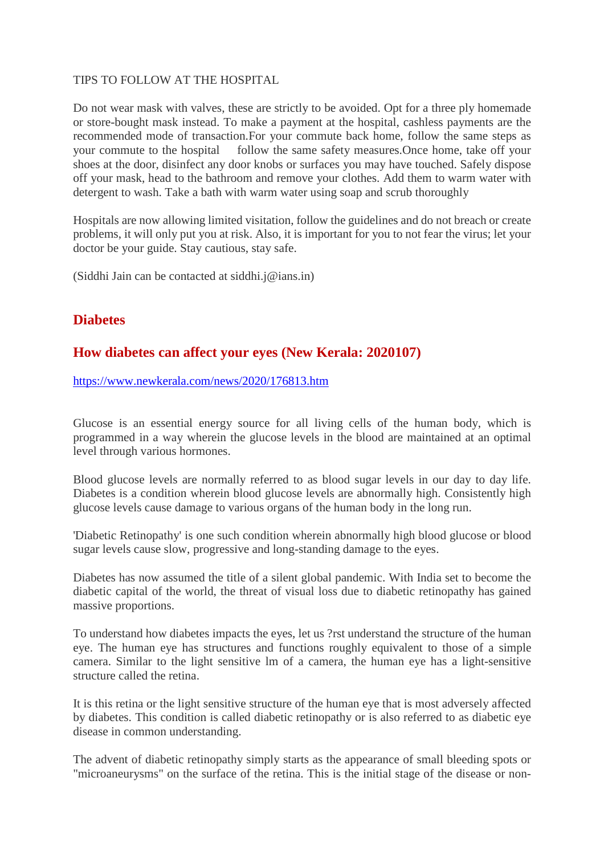#### TIPS TO FOLLOW AT THE HOSPITAL

Do not wear mask with valves, these are strictly to be avoided. Opt for a three ply homemade or store-bought mask instead. To make a payment at the hospital, cashless payments are the recommended mode of transaction.For your commute back home, follow the same steps as your commute to the hospital follow the same safety measures.Once home, take off your shoes at the door, disinfect any door knobs or surfaces you may have touched. Safely dispose off your mask, head to the bathroom and remove your clothes. Add them to warm water with detergent to wash. Take a bath with warm water using soap and scrub thoroughly

Hospitals are now allowing limited visitation, follow the guidelines and do not breach or create problems, it will only put you at risk. Also, it is important for you to not fear the virus; let your doctor be your guide. Stay cautious, stay safe.

(Siddhi Jain can be contacted at siddhi.j@ians.in)

#### **Diabetes**

#### **How diabetes can affect your eyes (New Kerala: 2020107)**

https://www.newkerala.com/news/2020/176813.htm

Glucose is an essential energy source for all living cells of the human body, which is programmed in a way wherein the glucose levels in the blood are maintained at an optimal level through various hormones.

Blood glucose levels are normally referred to as blood sugar levels in our day to day life. Diabetes is a condition wherein blood glucose levels are abnormally high. Consistently high glucose levels cause damage to various organs of the human body in the long run.

'Diabetic Retinopathy' is one such condition wherein abnormally high blood glucose or blood sugar levels cause slow, progressive and long-standing damage to the eyes.

Diabetes has now assumed the title of a silent global pandemic. With India set to become the diabetic capital of the world, the threat of visual loss due to diabetic retinopathy has gained massive proportions.

To understand how diabetes impacts the eyes, let us ?rst understand the structure of the human eye. The human eye has structures and functions roughly equivalent to those of a simple camera. Similar to the light sensitive lm of a camera, the human eye has a light-sensitive structure called the retina.

It is this retina or the light sensitive structure of the human eye that is most adversely affected by diabetes. This condition is called diabetic retinopathy or is also referred to as diabetic eye disease in common understanding.

The advent of diabetic retinopathy simply starts as the appearance of small bleeding spots or "microaneurysms" on the surface of the retina. This is the initial stage of the disease or non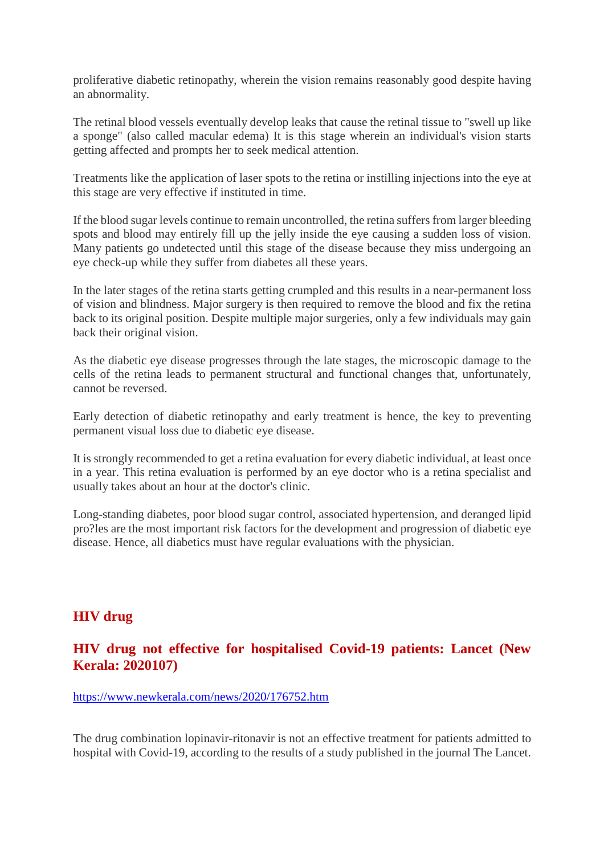proliferative diabetic retinopathy, wherein the vision remains reasonably good despite having an abnormality.

The retinal blood vessels eventually develop leaks that cause the retinal tissue to "swell up like a sponge" (also called macular edema) It is this stage wherein an individual's vision starts getting affected and prompts her to seek medical attention.

Treatments like the application of laser spots to the retina or instilling injections into the eye at this stage are very effective if instituted in time.

If the blood sugar levels continue to remain uncontrolled, the retina suffers from larger bleeding spots and blood may entirely fill up the jelly inside the eye causing a sudden loss of vision. Many patients go undetected until this stage of the disease because they miss undergoing an eye check-up while they suffer from diabetes all these years.

In the later stages of the retina starts getting crumpled and this results in a near-permanent loss of vision and blindness. Major surgery is then required to remove the blood and fix the retina back to its original position. Despite multiple major surgeries, only a few individuals may gain back their original vision.

As the diabetic eye disease progresses through the late stages, the microscopic damage to the cells of the retina leads to permanent structural and functional changes that, unfortunately, cannot be reversed.

Early detection of diabetic retinopathy and early treatment is hence, the key to preventing permanent visual loss due to diabetic eye disease.

It is strongly recommended to get a retina evaluation for every diabetic individual, at least once in a year. This retina evaluation is performed by an eye doctor who is a retina specialist and usually takes about an hour at the doctor's clinic.

Long-standing diabetes, poor blood sugar control, associated hypertension, and deranged lipid pro?les are the most important risk factors for the development and progression of diabetic eye disease. Hence, all diabetics must have regular evaluations with the physician.

#### **HIV drug**

#### **HIV drug not effective for hospitalised Covid-19 patients: Lancet (New Kerala: 2020107)**

https://www.newkerala.com/news/2020/176752.htm

The drug combination lopinavir-ritonavir is not an effective treatment for patients admitted to hospital with Covid-19, according to the results of a study published in the journal The Lancet.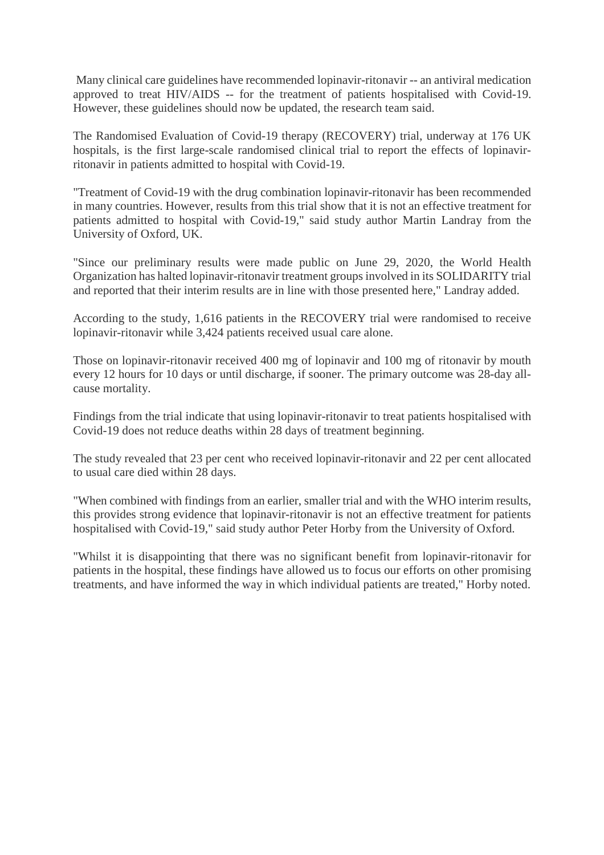Many clinical care guidelines have recommended lopinavir-ritonavir -- an antiviral medication approved to treat HIV/AIDS -- for the treatment of patients hospitalised with Covid-19. However, these guidelines should now be updated, the research team said.

The Randomised Evaluation of Covid-19 therapy (RECOVERY) trial, underway at 176 UK hospitals, is the first large-scale randomised clinical trial to report the effects of lopinavirritonavir in patients admitted to hospital with Covid-19.

"Treatment of Covid-19 with the drug combination lopinavir-ritonavir has been recommended in many countries. However, results from this trial show that it is not an effective treatment for patients admitted to hospital with Covid-19," said study author Martin Landray from the University of Oxford, UK.

"Since our preliminary results were made public on June 29, 2020, the World Health Organization has halted lopinavir-ritonavir treatment groups involved in its SOLIDARITY trial and reported that their interim results are in line with those presented here," Landray added.

According to the study, 1,616 patients in the RECOVERY trial were randomised to receive lopinavir-ritonavir while 3,424 patients received usual care alone.

Those on lopinavir-ritonavir received 400 mg of lopinavir and 100 mg of ritonavir by mouth every 12 hours for 10 days or until discharge, if sooner. The primary outcome was 28-day allcause mortality.

Findings from the trial indicate that using lopinavir-ritonavir to treat patients hospitalised with Covid-19 does not reduce deaths within 28 days of treatment beginning.

The study revealed that 23 per cent who received lopinavir-ritonavir and 22 per cent allocated to usual care died within 28 days.

"When combined with findings from an earlier, smaller trial and with the WHO interim results, this provides strong evidence that lopinavir-ritonavir is not an effective treatment for patients hospitalised with Covid-19," said study author Peter Horby from the University of Oxford.

"Whilst it is disappointing that there was no significant benefit from lopinavir-ritonavir for patients in the hospital, these findings have allowed us to focus our efforts on other promising treatments, and have informed the way in which individual patients are treated," Horby noted.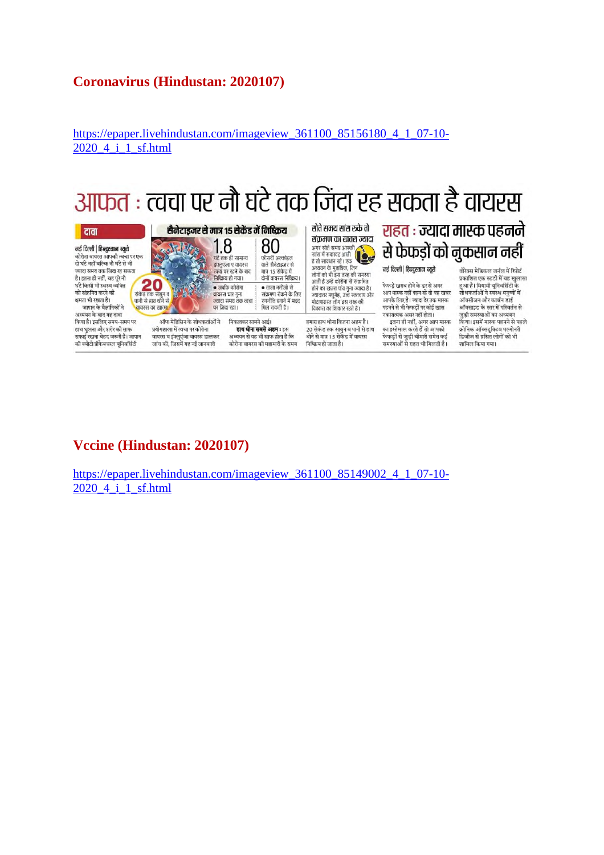#### **Coronavirus (Hindustan: 2020107)**

https://epaper.livehindustan.com/imageview\_361100\_85156180\_4\_1\_07-10- 2020 4 i 1 sf.html

## आफत : त्वचा पर नौ घंटे तक जिंदा रह सकता है वायरस

दावा नई दिल्ली | हिन्दुस्तान ब्यूरो .<br>ज्यादा समय तक जिंदा रह सकता है। इतना ही नहीं, वह परे नौ  $\begin{array}{c} \textbf{20} \\ \textbf{30} \end{array}$ घंटे किसी भी स्वस्थ व्यक्ति को संक्रमित करने की क्षमता भी रखता है। जापान के वैज्ञानिकों ने |<br>|बायरस का खात्मा अध्ययन के बाद यह दावा किया है। इसलिए समय-समय पर

हाथ धलना और शरीर की साफ सफाई रखना बेहद जरूरी है। जापान की क्योटो प्रीफेक्चरल यनिवर्सिटी

पर जिंदा रहा। ऑफ मेडिसिन के शोधकर्ताओं ने प्रयोगशाला में त्वचा पर कोरोना वायरस व इंफ्लुएंजा वायरस डालकर जांच की, जिसमें यह नई जानकारी

J. Time

 $1.8$ 80 घंटे तक ही सामान्य .<br>फीसदी अल्कोहल बर तक हा साना प<br>इंग्लुएजा ए वायरस बाले सैनेटाइजर से<br>मात्र 15 सेकेंड में निष्क्रिय हो गया। दोनों वायरस निष्क्रिय। • ताजा नतीजों से<br>संक्रमण रोकने के लिए • जबकि कोरोना वायरस चार गुना ज्यादा समय तक त्वचा रणनीति बनाने में मदद मिल सकती है।

सैनेटाइजर से मात्र 15 सेकेंड में निष्क्रिय

निकलकर सामने आई। हाथ धोना सबसे अहम : इस अध्ययन से यह भी साफ होता है कि कोरोना वायरस की महामारी के समय संक्रमण का खतरा ज्यादा .<br>आगर सोते समय आपकी<br>सांस में रुकावट आती सांस में रुकावट आती<br>है तो सावधान रहें । एक ः सारमानाः स्टान्स्<br>अध्ययन के मुताबिक, जिन<br>लोगों को भी इस तरह की समस्या आती है उन्हें कोरोना से संक्रमित<br>होने का खतरा पांच गुना ज्यादा है। जन्मदार मधुमेह, उच्च रक्तचाप और<br>ज्यादातर मधुमेह, उच्च रक्तचाप और<br>मोटापाग्रस्त लोग इस तरह की

सोते समय सांस रूके तो

हमारा हाथ धोना कितना अहम है। 20 सेकंड तक साबुन व पानी से हाथ

.<br>ग्रोने से मात्र 15 सेकेंड में वायरस .<br>फेफड़ों से जुड़ी बीमारी समेत कई<br>समस्याओं से राहत भी मिलती है। निष्क्रिय हो जाता है।

थोरेक्स मेडिकल जर्नल में रिपोर्ट प्रकाशित एक स्टडी में यह खुलासा हुआ है। मियामी यूनिवर्सिटी के शोधकर्ताओं ने स्वस्थ मनुष्यों में ऑक्साइड के स्तर में परिवर्तन से जुड़ी समस्याओं का अध्ययन किया। इसमें मास्क पहनने से पहले क्रोनिक ऑब्सटूक्टिव पल्मोनरी डिजीज से ग्रसित लोगों को भी शामिल किया गया।

राहत : ज्यादा मास्क पहनने

से फेफड़ों को नुकसान नहीं

नई दिल्ली | हिन्दुस्तान ब्यूरो

.<br>फेफड़े खराब होने के डर से अगर

आप मास्क नहीं पहन रहे तो यह खबर

आपके लिए है। ज्यादा देर तक मास्क

पहनने से भी फेफड़ों पर कोई खास

नकारात्मक असर नहीं होता।

#### **Vccine (Hindustan: 2020107)**

https://epaper.livehindustan.com/imageview\_361100\_85149002\_4\_1\_07-10- 2020\_4\_i\_1\_sf.html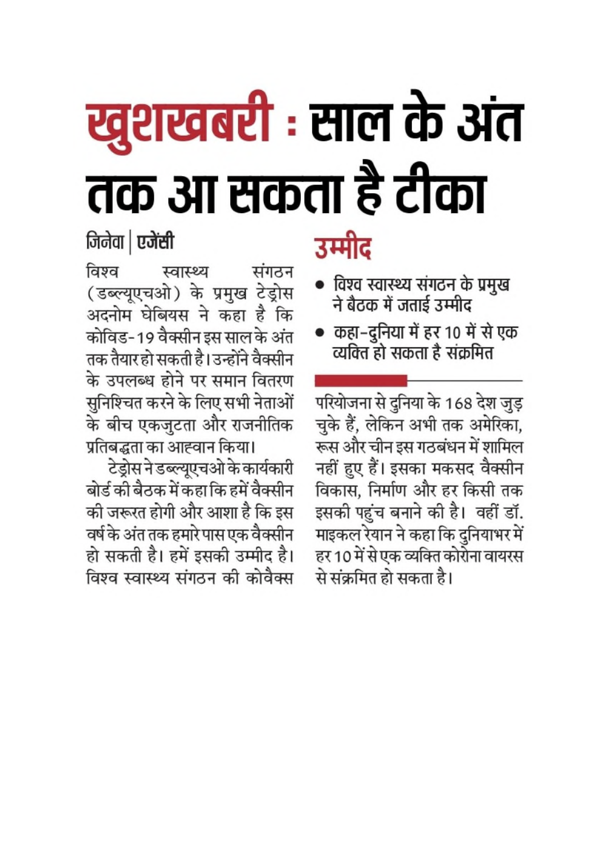# ख्रुशखबरी : साल के अंत तक आ सकता है टीका

**जिनेवा | एजेंसी** 

ਕਿਝਕ स्वास्थ्य संगठन (डब्ल्यूएचओ) के प्रमुख टेड्रोस अदनोम घेबियस ने कहा है कि कोविड-19 वैक्सीन इस साल के अंत तक तैयार हो सकती है। उन्होंने वैक्सीन के उपलब्ध होने पर समान वितरण सुनिश्चित करने के लिए सभी नेताओं के बीच एकजुटता और राजनीतिक प्रतिबद्धता का आह्वान किया।

टेड्रोस ने डब्ल्यूएचओ के कार्यकारी बोर्ड की बैठक में कहा कि हमें वैक्सीन की जरूरत होगी और आशा है कि इस वर्ष के अंत तक हमारे पास एक वैक्सीन हो सकती है। हमें इसकी उम्मीद है। विश्व स्वास्थ्य संगठन की कोवैक्स उम्मीद

- विश्व स्वास्थ्य संगठन के प्रमुख ने बैठक में जताई उम्मीद
- कहा–दुनिया में हर 10 में से एक व्यक्ति हो सकता है संक्रमित

परियोजना से दुनिया के 168 देश जुड़ चुके हैं, लेकिन अभी तक अमेरिका, रूस और चीन इस गठबंधन में शामिल नहीं हुए हैं। इसका मकसद वैक्सीन विकास, निर्माण और हर किसी तक इसकी पहुंच बनाने की है। वहीं डॉ. माइकल रेयान ने कहा कि दुनियाभर में हर 10 में से एक व्यक्ति कोरोना वायरस से संक्रमित हो सकता है।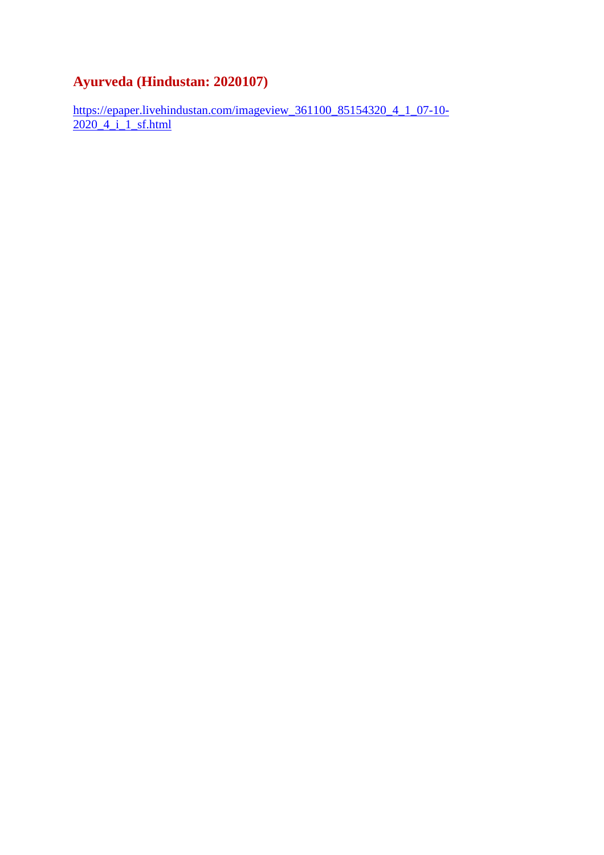#### **Ayurveda (Hindustan: 2020107)**

https://epaper.livehindustan.com/imageview\_361100\_85154320\_4\_1\_07-10-2020\_4\_i\_1\_sf.html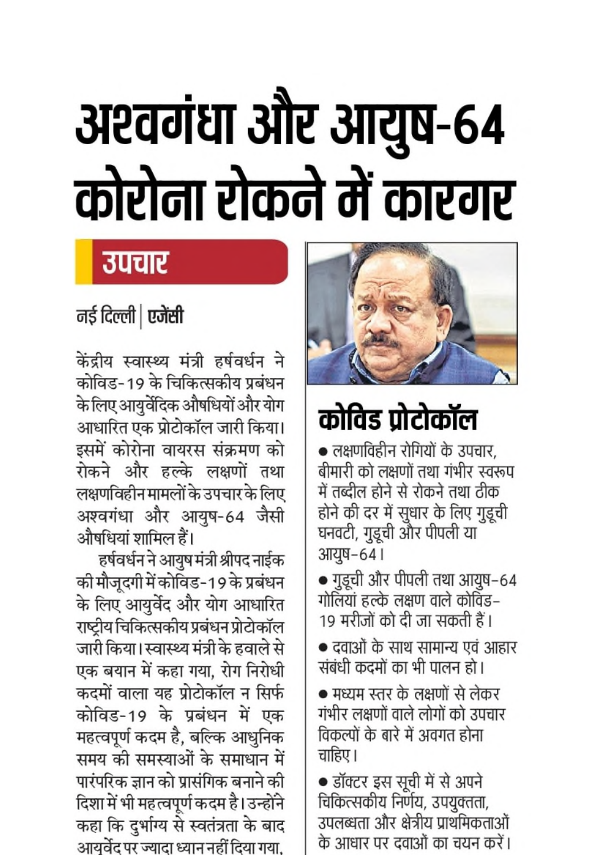# अश्वगंधा और आयुष-64 कोरोना रोकने में कारगर

## उपचार

### नई दिल्ली | एजेंसी

केंद्रीय स्वास्थ्य मंत्री हर्षवर्धन ने कोविड-19 के चिकित्सकीय प्रबंधन के लिए आयुर्वेदिक औषधियों और योग आधारित एक प्रोटोकॉल जारी किया। इसमें कोरोना वायरस संक्रमण को रोकने और हल्के लक्षणों तथा लक्षणविहीन मामलों के उपचार के लिए अश्वगंधा और आयुष-64 जैसी औषधियां शामिल हैं।

हर्षवर्धन ने आयुष मंत्री श्रीपद नाईक की मौजूदगी में कोविड-19 के प्रबंधन के लिए आयुर्वेद और योग आधारित राष्ट्रीय चिकित्सकीय प्रबंधन प्रोटोकॉल जारी किया। स्वास्थ्य मंत्री के हवाले से एक बयान में कहा गया, रोग निरोधी कदमों वाला यह प्रोटोकॉल न सिर्फ कोविड-19 के प्रबंधन में एक महत्वपूर्ण कदम है, बल्कि आधुनिक समय की समस्याओं के समाधान में पारंपरिक ज्ञान को प्रासंगिक बनाने की दिशा में भी महत्वपूर्ण कदम है। उन्होंने कहा कि दुर्भाग्य से स्वतंत्रता के बाद आयुर्वेद पर ज्यादा ध्यान नहीं दिया गया,



## कोविड प्रोटोकॉल

• लक्षणविहीन रोगियों के उपचार, बीमारी को लक्षणों तथा गंभीर स्वरूप में तब्दील होने से रोकने तथा ठीक होने की दर में सुधार के लिए गुडूची घनवटी, गुडूची और पीपली या आयुष-64।

• गुडूची और पीपली तथा आयुष–64 गोलियां हल्के लक्षण वाले कोविंड– 19 मरीजों को दी जा सकती हैं।

• दवाओं के साथ सामान्य एवं आहार संबंधी कदमों का भी पालन हो।

● मध्यम स्तर के लक्षणों से लेकर गंभीर लक्षणों वाले लोगों को उपचार विकल्पों के बारे में अवगत होना चाहिए ।

• डॉक्टर इस सूची में से अपने चिकित्सकीय निर्णय, उपयुक्तता, उपलब्धता और क्षेत्रीय प्राथमिकताओं के आधार पर दवाओं का चयन करें।